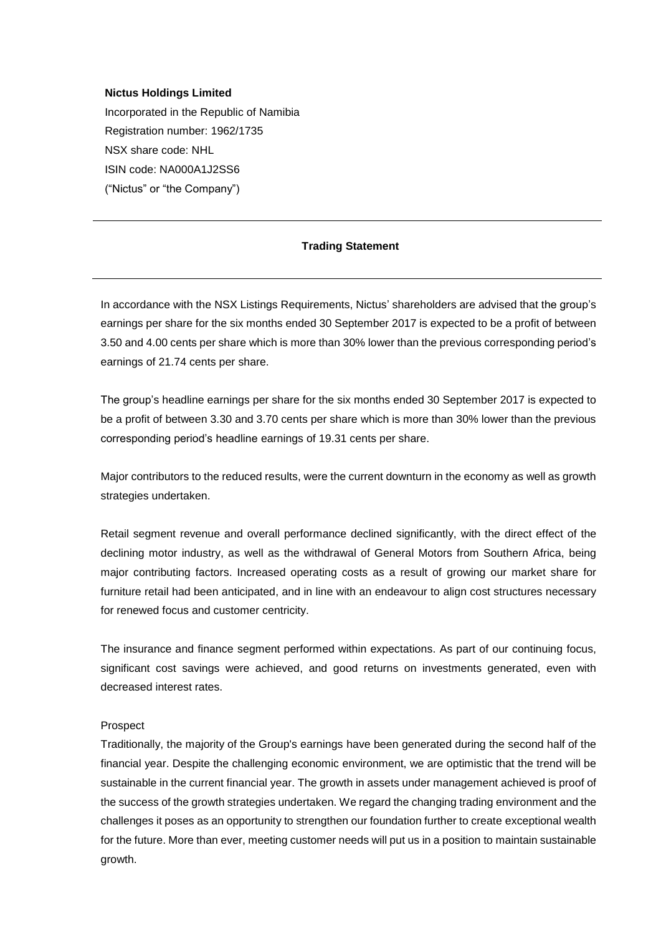## **Nictus Holdings Limited**

Incorporated in the Republic of Namibia Registration number: 1962/1735 NSX share code: NHL ISIN code: NA000A1J2SS6 ("Nictus" or "the Company")

## **Trading Statement**

In accordance with the NSX Listings Requirements, Nictus' shareholders are advised that the group's earnings per share for the six months ended 30 September 2017 is expected to be a profit of between 3.50 and 4.00 cents per share which is more than 30% lower than the previous corresponding period's earnings of 21.74 cents per share.

The group's headline earnings per share for the six months ended 30 September 2017 is expected to be a profit of between 3.30 and 3.70 cents per share which is more than 30% lower than the previous corresponding period's headline earnings of 19.31 cents per share.

Major contributors to the reduced results, were the current downturn in the economy as well as growth strategies undertaken.

Retail segment revenue and overall performance declined significantly, with the direct effect of the declining motor industry, as well as the withdrawal of General Motors from Southern Africa, being major contributing factors. Increased operating costs as a result of growing our market share for furniture retail had been anticipated, and in line with an endeavour to align cost structures necessary for renewed focus and customer centricity.

The insurance and finance segment performed within expectations. As part of our continuing focus, significant cost savings were achieved, and good returns on investments generated, even with decreased interest rates.

## Prospect

Traditionally, the majority of the Group's earnings have been generated during the second half of the financial year. Despite the challenging economic environment, we are optimistic that the trend will be sustainable in the current financial year. The growth in assets under management achieved is proof of the success of the growth strategies undertaken. We regard the changing trading environment and the challenges it poses as an opportunity to strengthen our foundation further to create exceptional wealth for the future. More than ever, meeting customer needs will put us in a position to maintain sustainable growth.